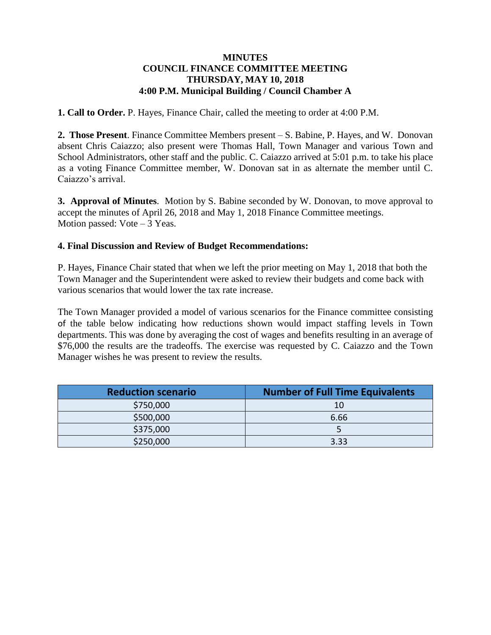## **MINUTES COUNCIL FINANCE COMMITTEE MEETING THURSDAY, MAY 10, 2018 4:00 P.M. Municipal Building / Council Chamber A**

**1. Call to Order.** P. Hayes, Finance Chair, called the meeting to order at 4:00 P.M.

**2. Those Present**. Finance Committee Members present – S. Babine, P. Hayes, and W. Donovan absent Chris Caiazzo; also present were Thomas Hall, Town Manager and various Town and School Administrators, other staff and the public. C. Caiazzo arrived at 5:01 p.m. to take his place as a voting Finance Committee member, W. Donovan sat in as alternate the member until C. Caiazzo's arrival.

**3. Approval of Minutes**. Motion by S. Babine seconded by W. Donovan, to move approval to accept the minutes of April 26, 2018 and May 1, 2018 Finance Committee meetings. Motion passed: Vote – 3 Yeas.

## **4. Final Discussion and Review of Budget Recommendations:**

P. Hayes, Finance Chair stated that when we left the prior meeting on May 1, 2018 that both the Town Manager and the Superintendent were asked to review their budgets and come back with various scenarios that would lower the tax rate increase.

The Town Manager provided a model of various scenarios for the Finance committee consisting of the table below indicating how reductions shown would impact staffing levels in Town departments. This was done by averaging the cost of wages and benefits resulting in an average of \$76,000 the results are the tradeoffs. The exercise was requested by C. Caiazzo and the Town Manager wishes he was present to review the results.

| <b>Reduction scenario</b> | <b>Number of Full Time Equivalents</b> |
|---------------------------|----------------------------------------|
| \$750,000                 | 10                                     |
| \$500,000                 | 6.66                                   |
| \$375,000                 |                                        |
| \$250,000                 | 3.33                                   |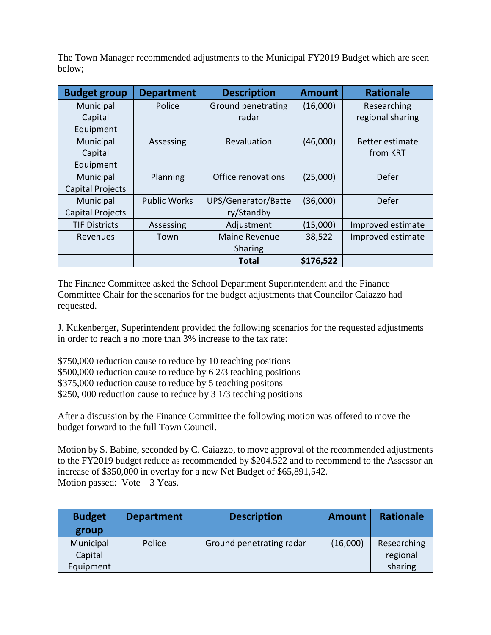The Town Manager recommended adjustments to the Municipal FY2019 Budget which are seen below;

| <b>Budget group</b>     | <b>Department</b>   | <b>Description</b>  | <b>Amount</b> | <b>Rationale</b>  |
|-------------------------|---------------------|---------------------|---------------|-------------------|
| Municipal               | Police              | Ground penetrating  | (16,000)      | Researching       |
| Capital                 |                     | radar               |               | regional sharing  |
| Equipment               |                     |                     |               |                   |
| Municipal               | Assessing           | Revaluation         | (46,000)      | Better estimate   |
| Capital                 |                     |                     |               | from KRT          |
| Equipment               |                     |                     |               |                   |
| Municipal               | Planning            | Office renovations  | (25,000)      | Defer             |
| <b>Capital Projects</b> |                     |                     |               |                   |
| Municipal               | <b>Public Works</b> | UPS/Generator/Batte | (36,000)      | Defer             |
| <b>Capital Projects</b> |                     | ry/Standby          |               |                   |
| <b>TIF Districts</b>    | Assessing           | Adjustment          | (15,000)      | Improved estimate |
| Revenues                | Town                | Maine Revenue       | 38,522        | Improved estimate |
|                         |                     | Sharing             |               |                   |
|                         |                     | Total               | \$176,522     |                   |

The Finance Committee asked the School Department Superintendent and the Finance Committee Chair for the scenarios for the budget adjustments that Councilor Caiazzo had requested.

J. Kukenberger, Superintendent provided the following scenarios for the requested adjustments in order to reach a no more than 3% increase to the tax rate:

\$750,000 reduction cause to reduce by 10 teaching positions \$500,000 reduction cause to reduce by 6 2/3 teaching positions \$375,000 reduction cause to reduce by 5 teaching positons \$250, 000 reduction cause to reduce by 3 1/3 teaching positions

After a discussion by the Finance Committee the following motion was offered to move the budget forward to the full Town Council.

Motion by S. Babine, seconded by C. Caiazzo, to move approval of the recommended adjustments to the FY2019 budget reduce as recommended by \$204.522 and to recommend to the Assessor an increase of \$350,000 in overlay for a new Net Budget of \$65,891,542. Motion passed: Vote – 3 Yeas.

| <b>Budget</b> | <b>Department</b> | <b>Description</b>       | <b>Amount</b> | <b>Rationale</b> |
|---------------|-------------------|--------------------------|---------------|------------------|
| group         |                   |                          |               |                  |
| Municipal     | Police            | Ground penetrating radar | (16,000)      | Researching      |
| Capital       |                   |                          |               | regional         |
| Equipment     |                   |                          |               | sharing          |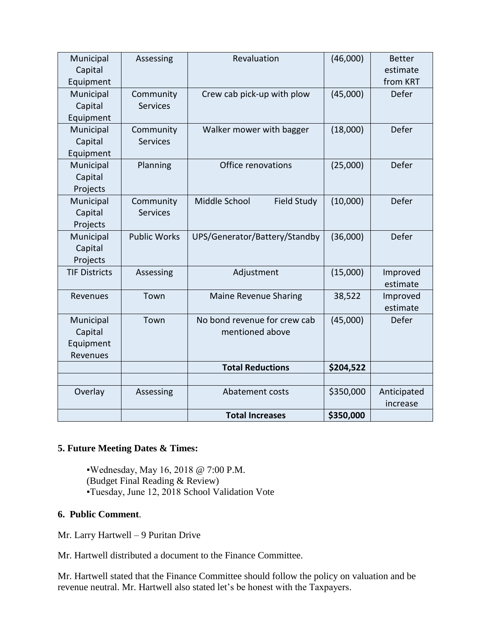| Municipal<br>Capital<br>Equipment             | Assessing                    | Revaluation                                     | (46,000)  | <b>Better</b><br>estimate<br>from KRT |
|-----------------------------------------------|------------------------------|-------------------------------------------------|-----------|---------------------------------------|
| Municipal<br>Capital<br>Equipment             | Community<br><b>Services</b> | Crew cab pick-up with plow                      | (45,000)  | Defer                                 |
| Municipal<br>Capital<br>Equipment             | Community<br><b>Services</b> | Walker mower with bagger                        | (18,000)  | Defer                                 |
| Municipal<br>Capital<br>Projects              | Planning                     | Office renovations                              | (25,000)  | Defer                                 |
| Municipal<br>Capital<br>Projects              | Community<br><b>Services</b> | Middle School<br><b>Field Study</b>             | (10,000)  | Defer                                 |
| Municipal<br>Capital<br>Projects              | <b>Public Works</b>          | UPS/Generator/Battery/Standby                   | (36,000)  | Defer                                 |
| <b>TIF Districts</b>                          | Assessing                    | Adjustment                                      | (15,000)  | Improved<br>estimate                  |
| Revenues                                      | Town                         | <b>Maine Revenue Sharing</b>                    | 38,522    | Improved<br>estimate                  |
| Municipal<br>Capital<br>Equipment<br>Revenues | Town                         | No bond revenue for crew cab<br>mentioned above | (45,000)  | Defer                                 |
|                                               |                              | <b>Total Reductions</b>                         | \$204,522 |                                       |
| Overlay                                       | Assessing                    | Abatement costs                                 | \$350,000 | Anticipated<br>increase               |
|                                               |                              | <b>Total Increases</b>                          | \$350,000 |                                       |

## **5. Future Meeting Dates & Times:**

▪Wednesday, May 16, 2018 @ 7:00 P.M. (Budget Final Reading & Review) ▪Tuesday, June 12, 2018 School Validation Vote

## **6. Public Comment**.

Mr. Larry Hartwell – 9 Puritan Drive

Mr. Hartwell distributed a document to the Finance Committee.

Mr. Hartwell stated that the Finance Committee should follow the policy on valuation and be revenue neutral. Mr. Hartwell also stated let's be honest with the Taxpayers.